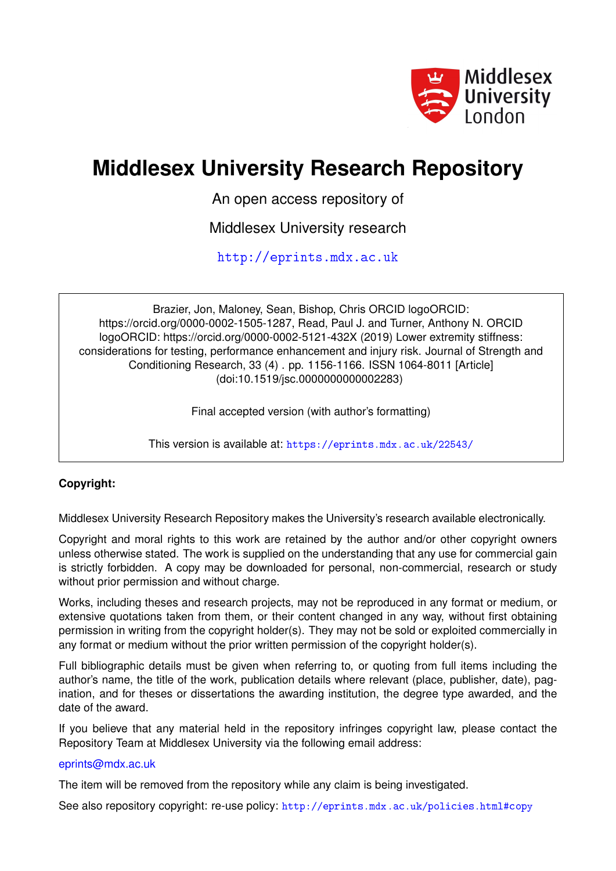

## **Middlesex University Research Repository**

An open access repository of

Middlesex University research

<http://eprints.mdx.ac.uk>

Brazier, Jon, Maloney, Sean, Bishop, Chris ORCID logoORCID: https://orcid.org/0000-0002-1505-1287, Read, Paul J. and Turner, Anthony N. ORCID logoORCID: https://orcid.org/0000-0002-5121-432X (2019) Lower extremity stiffness: considerations for testing, performance enhancement and injury risk. Journal of Strength and Conditioning Research, 33 (4) . pp. 1156-1166. ISSN 1064-8011 [Article] (doi:10.1519/jsc.0000000000002283)

Final accepted version (with author's formatting)

This version is available at: <https://eprints.mdx.ac.uk/22543/>

## **Copyright:**

Middlesex University Research Repository makes the University's research available electronically.

Copyright and moral rights to this work are retained by the author and/or other copyright owners unless otherwise stated. The work is supplied on the understanding that any use for commercial gain is strictly forbidden. A copy may be downloaded for personal, non-commercial, research or study without prior permission and without charge.

Works, including theses and research projects, may not be reproduced in any format or medium, or extensive quotations taken from them, or their content changed in any way, without first obtaining permission in writing from the copyright holder(s). They may not be sold or exploited commercially in any format or medium without the prior written permission of the copyright holder(s).

Full bibliographic details must be given when referring to, or quoting from full items including the author's name, the title of the work, publication details where relevant (place, publisher, date), pagination, and for theses or dissertations the awarding institution, the degree type awarded, and the date of the award.

If you believe that any material held in the repository infringes copyright law, please contact the Repository Team at Middlesex University via the following email address:

## [eprints@mdx.ac.uk](mailto:eprints@mdx.ac.uk)

The item will be removed from the repository while any claim is being investigated.

See also repository copyright: re-use policy: <http://eprints.mdx.ac.uk/policies.html#copy>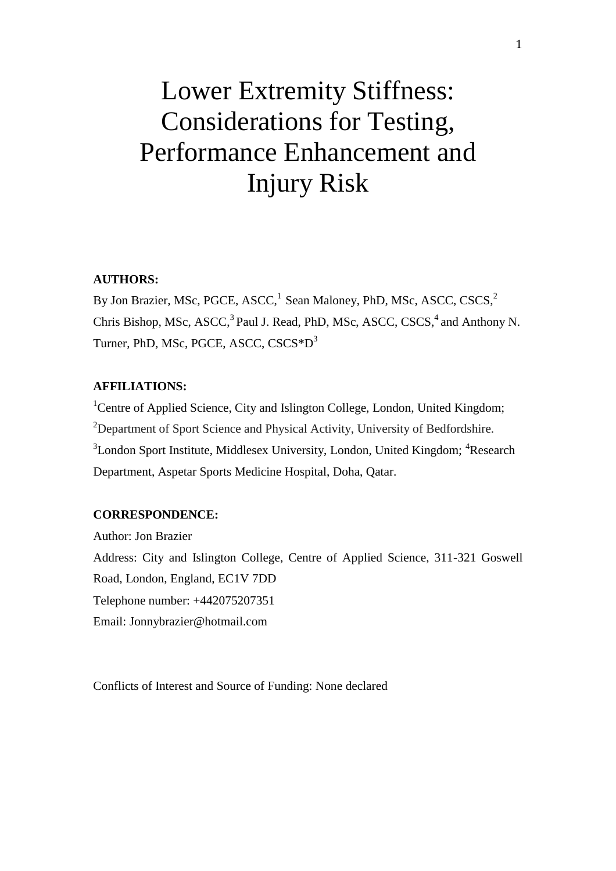# Lower Extremity Stiffness: Considerations for Testing, Performance Enhancement and Injury Risk

## **AUTHORS:**

By Jon Brazier, MSc, PGCE, ASCC,<sup>1</sup> Sean Maloney, PhD, MSc, ASCC, CSCS,<sup>2</sup> Chris Bishop, MSc, ASCC,<sup>3</sup> Paul J. Read, PhD, MSc, ASCC, CSCS,<sup>4</sup> and Anthony N. Turner, PhD, MSc, PGCE, ASCC, CSCS\*D<sup>3</sup>

## **AFFILIATIONS:**

<sup>1</sup>Centre of Applied Science, City and Islington College, London, United Kingdom; <sup>2</sup>Department of Sport Science and Physical Activity, University of Bedfordshire. <sup>3</sup>London Sport Institute, Middlesex University, London, United Kingdom; <sup>4</sup>Research Department, Aspetar Sports Medicine Hospital, Doha, Qatar.

## **CORRESPONDENCE:**

Author: Jon Brazier Address: City and Islington College, Centre of Applied Science, 311-321 Goswell Road, London, England, EC1V 7DD Telephone number: +442075207351 Email: Jonnybrazier@hotmail.com

Conflicts of Interest and Source of Funding: None declared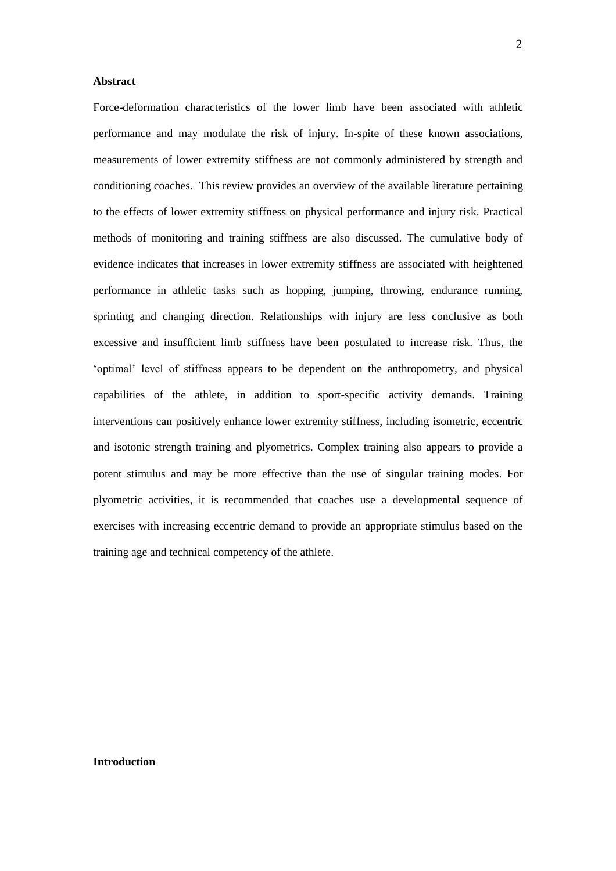#### **Abstract**

Force-deformation characteristics of the lower limb have been associated with athletic performance and may modulate the risk of injury. In-spite of these known associations, measurements of lower extremity stiffness are not commonly administered by strength and conditioning coaches. This review provides an overview of the available literature pertaining to the effects of lower extremity stiffness on physical performance and injury risk. Practical methods of monitoring and training stiffness are also discussed. The cumulative body of evidence indicates that increases in lower extremity stiffness are associated with heightened performance in athletic tasks such as hopping, jumping, throwing, endurance running, sprinting and changing direction. Relationships with injury are less conclusive as both excessive and insufficient limb stiffness have been postulated to increase risk. Thus, the 'optimal' level of stiffness appears to be dependent on the anthropometry, and physical capabilities of the athlete, in addition to sport-specific activity demands. Training interventions can positively enhance lower extremity stiffness, including isometric, eccentric and isotonic strength training and plyometrics. Complex training also appears to provide a potent stimulus and may be more effective than the use of singular training modes. For plyometric activities, it is recommended that coaches use a developmental sequence of exercises with increasing eccentric demand to provide an appropriate stimulus based on the training age and technical competency of the athlete.

#### **Introduction**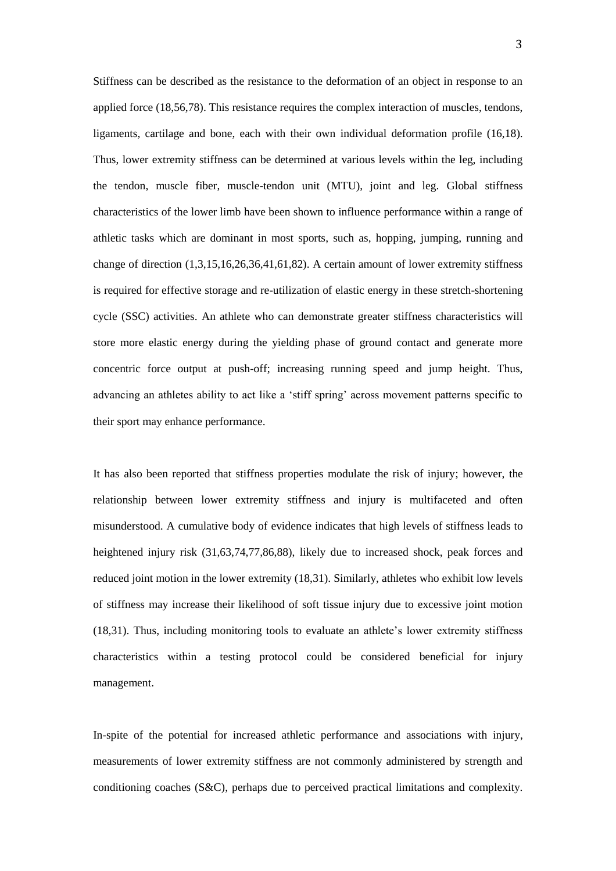Stiffness can be described as the resistance to the deformation of an object in response to an applied force (18,56,78). This resistance requires the complex interaction of muscles, tendons, ligaments, cartilage and bone, each with their own individual deformation profile (16,18). Thus, lower extremity stiffness can be determined at various levels within the leg, including the tendon, muscle fiber, muscle-tendon unit (MTU), joint and leg. Global stiffness characteristics of the lower limb have been shown to influence performance within a range of athletic tasks which are dominant in most sports, such as, hopping, jumping, running and change of direction (1,3,15,16,26,36,41,61,82). A certain amount of lower extremity stiffness is required for effective storage and re-utilization of elastic energy in these stretch-shortening cycle (SSC) activities. An athlete who can demonstrate greater stiffness characteristics will store more elastic energy during the yielding phase of ground contact and generate more concentric force output at push-off; increasing running speed and jump height. Thus, advancing an athletes ability to act like a 'stiff spring' across movement patterns specific to their sport may enhance performance.

It has also been reported that stiffness properties modulate the risk of injury; however, the relationship between lower extremity stiffness and injury is multifaceted and often misunderstood. A cumulative body of evidence indicates that high levels of stiffness leads to heightened injury risk  $(31,63,74,77,86,88)$ , likely due to increased shock, peak forces and reduced joint motion in the lower extremity (18,31). Similarly, athletes who exhibit low levels of stiffness may increase their likelihood of soft tissue injury due to excessive joint motion (18,31). Thus, including monitoring tools to evaluate an athlete's lower extremity stiffness characteristics within a testing protocol could be considered beneficial for injury management.

In-spite of the potential for increased athletic performance and associations with injury, measurements of lower extremity stiffness are not commonly administered by strength and conditioning coaches (S&C), perhaps due to perceived practical limitations and complexity.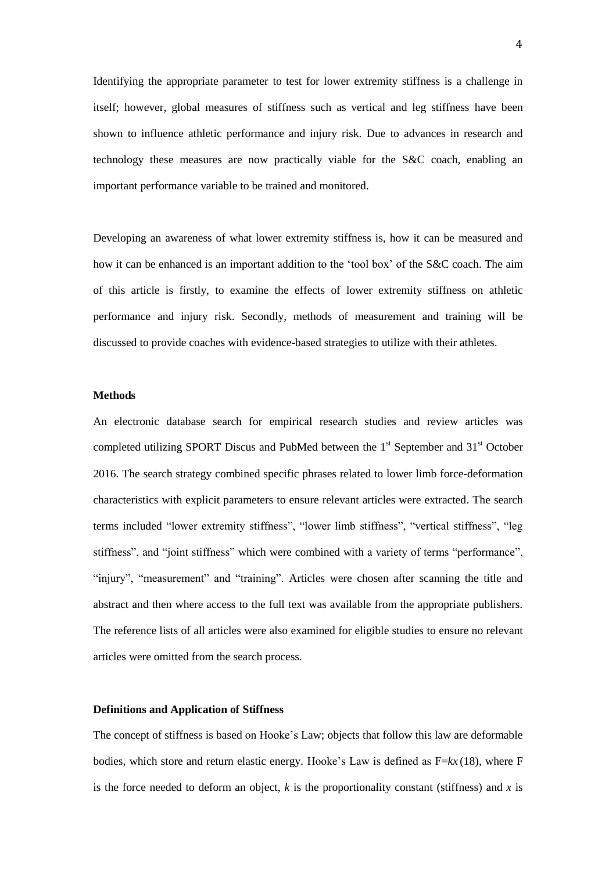Identifying the appropriate parameter to test for lower extremity stiffness is a challenge in itself; however, global measures of stiffness such as vertical and leg stiffness have been shown to influence athletic performance and injury risk. Due to advances in research and technology these measures are now practically viable for the S&C coach, enabling an important performance variable to be trained and monitored.

Developing an awareness of what lower extremity stiffness is, how it can be measured and how it can be enhanced is an important addition to the 'tool box' of the S&C coach. The aim of this article is firstly, to examine the effects of lower extremity stiffness on athletic performance and injury risk. Secondly, methods of measurement and training will be discussed to provide coaches with evidence-based strategies to utilize with their athletes.

#### **Methods**

An electronic database search for empirical research studies and review articles was completed utilizing SPORT Discus and PubMed between the 1<sup>st</sup> September and 31<sup>st</sup> October 2016. The search strategy combined specific phrases related to lower limb force-deformation characteristics with explicit parameters to ensure relevant articles were extracted. The search terms included "lower extremity stiffness", "lower limb stiffness", "vertical stiffness", "leg stiffness", and "joint stiffness" which were combined with a variety of terms "performance", "injury", "measurement" and "training". Articles were chosen after scanning the title and abstract and then where access to the full text was available from the appropriate publishers. The reference lists of all articles were also examined for eligible studies to ensure no relevant articles were omitted from the search process.

#### **Definitions and Application of Stiffness**

The concept of stiffness is based on Hooke's Law; objects that follow this law are deformable bodies, which store and return elastic energy. Hooke's Law is defined as F=*kx* (18), where F is the force needed to deform an object,  $k$  is the proportionality constant (stiffness) and  $x$  is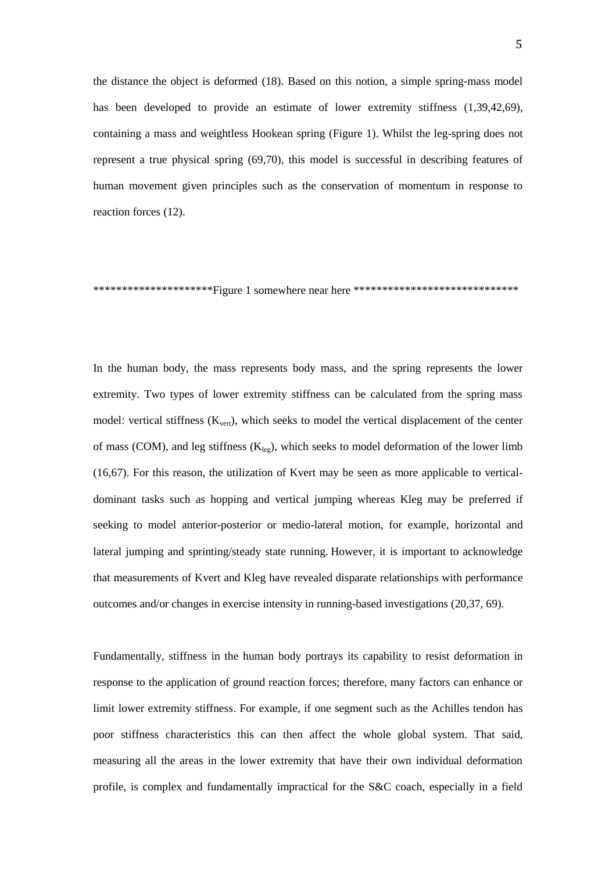the distance the object is deformed (18). Based on this notion, a simple spring-mass model has been developed to provide an estimate of lower extremity stiffness (1,39,42,69), containing a mass and weightless Hookean spring (Figure 1). Whilst the leg-spring does not represent a true physical spring (69,70), this model is successful in describing features of human movement given principles such as the conservation of momentum in response to reaction forces (12).

\*\*\*\*\*\*\*\*\*\*\*\*\*\*\*\*\*\*\*\*\*\*Figure 1 somewhere near here \*\*\*\*\*\*\*\*\*\*\*\*\*\*\*\*\*\*\*\*\*\*\*\*\*\*\*\*\*

In the human body, the mass represents body mass, and the spring represents the lower extremity. Two types of lower extremity stiffness can be calculated from the spring mass model: vertical stiffness  $(K_{vert})$ , which seeks to model the vertical displacement of the center of mass (COM), and leg stiffness  $(K<sub>lep</sub>)$ , which seeks to model deformation of the lower limb (16,67). For this reason, the utilization of Kvert may be seen as more applicable to verticaldominant tasks such as hopping and vertical jumping whereas Kleg may be preferred if seeking to model anterior-posterior or medio-lateral motion, for example, horizontal and lateral jumping and sprinting/steady state running. However, it is important to acknowledge that measurements of Kvert and Kleg have revealed disparate relationships with performance outcomes and/or changes in exercise intensity in running-based investigations (20,37, 69).

Fundamentally, stiffness in the human body portrays its capability to resist deformation in response to the application of ground reaction forces; therefore, many factors can enhance or limit lower extremity stiffness. For example, if one segment such as the Achilles tendon has poor stiffness characteristics this can then affect the whole global system. That said, measuring all the areas in the lower extremity that have their own individual deformation profile, is complex and fundamentally impractical for the S&C coach, especially in a field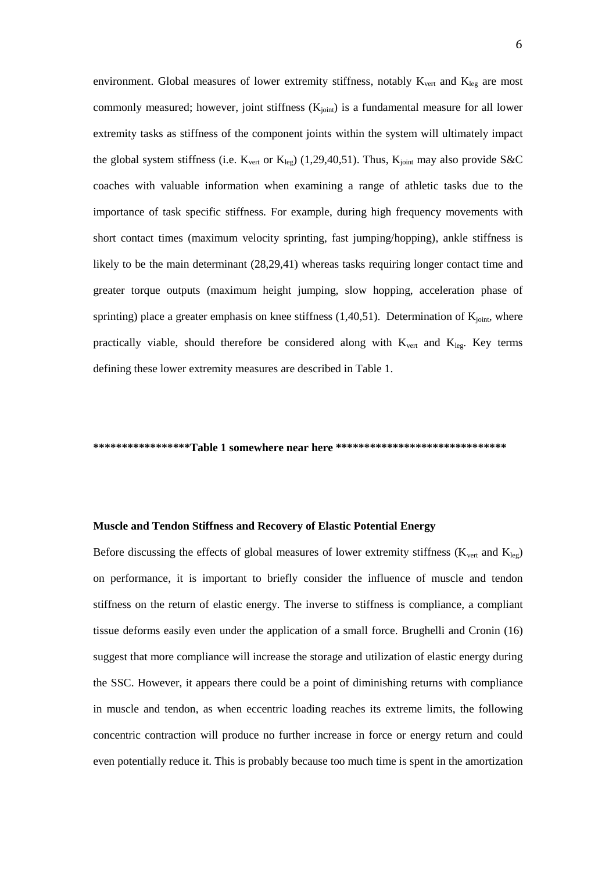environment. Global measures of lower extremity stiffness, notably  $K_{vert}$  and  $K_{leg}$  are most commonly measured; however, joint stiffness  $(K_{joint})$  is a fundamental measure for all lower extremity tasks as stiffness of the component joints within the system will ultimately impact the global system stiffness (i.e.  $K_{\text{vert}}$  or  $K_{\text{leg}}$ ) (1,29,40,51). Thus,  $K_{\text{joint}}$  may also provide S&C coaches with valuable information when examining a range of athletic tasks due to the importance of task specific stiffness. For example, during high frequency movements with short contact times (maximum velocity sprinting, fast jumping/hopping), ankle stiffness is likely to be the main determinant (28,29,41) whereas tasks requiring longer contact time and greater torque outputs (maximum height jumping, slow hopping, acceleration phase of sprinting) place a greater emphasis on knee stiffness  $(1,40,51)$ . Determination of  $K<sub>joint</sub>$ , where practically viable, should therefore be considered along with  $K_{vert}$  and  $K_{leg}$ . Key terms defining these lower extremity measures are described in Table 1.

#### **\*\*\*\*\*\*\*\*\*\*\*\*\*\*\*\*\*Table 1 somewhere near here \*\*\*\*\*\*\*\*\*\*\*\*\*\*\*\*\*\*\*\*\*\*\*\*\*\*\*\*\*\***

#### **Muscle and Tendon Stiffness and Recovery of Elastic Potential Energy**

Before discussing the effects of global measures of lower extremity stiffness ( $K_{vert}$  and  $K_{leg}$ ) on performance, it is important to briefly consider the influence of muscle and tendon stiffness on the return of elastic energy. The inverse to stiffness is compliance, a compliant tissue deforms easily even under the application of a small force. Brughelli and Cronin (16) suggest that more compliance will increase the storage and utilization of elastic energy during the SSC. However, it appears there could be a point of diminishing returns with compliance in muscle and tendon, as when eccentric loading reaches its extreme limits, the following concentric contraction will produce no further increase in force or energy return and could even potentially reduce it. This is probably because too much time is spent in the amortization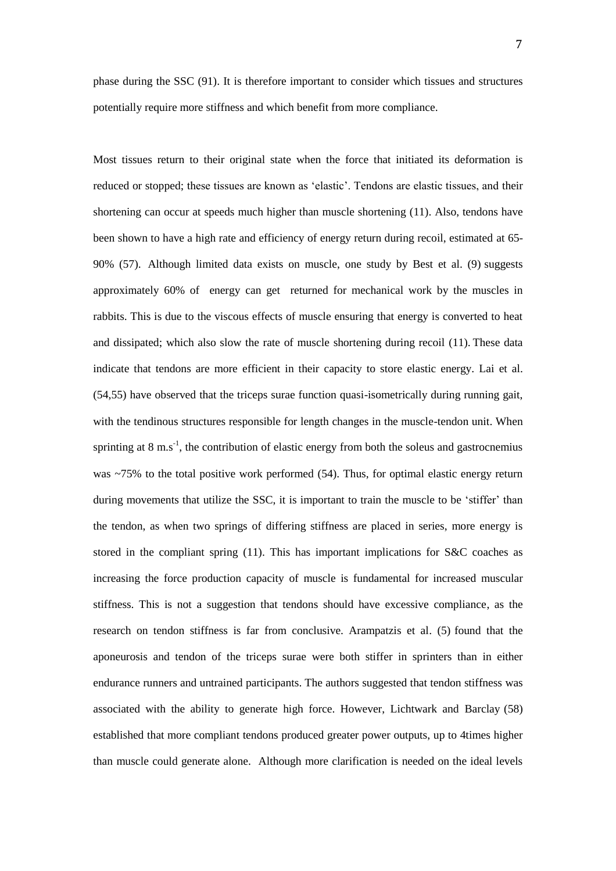phase during the SSC (91). It is therefore important to consider which tissues and structures potentially require more stiffness and which benefit from more compliance.

Most tissues return to their original state when the force that initiated its deformation is reduced or stopped; these tissues are known as 'elastic'. Tendons are elastic tissues, and their shortening can occur at speeds much higher than muscle shortening (11). Also, tendons have been shown to have a high rate and efficiency of energy return during recoil, estimated at 65- 90% (57). Although limited data exists on muscle, one study by Best et al. (9) suggests approximately 60% of energy can get returned for mechanical work by the muscles in rabbits. This is due to the viscous effects of muscle ensuring that energy is converted to heat and dissipated; which also slow the rate of muscle shortening during recoil (11). These data indicate that tendons are more efficient in their capacity to store elastic energy. Lai et al. (54,55) have observed that the triceps surae function quasi-isometrically during running gait, with the tendinous structures responsible for length changes in the muscle-tendon unit. When sprinting at 8 m.s<sup>-1</sup>, the contribution of elastic energy from both the soleus and gastrocnemius was  $\sim$ 75% to the total positive work performed (54). Thus, for optimal elastic energy return during movements that utilize the SSC, it is important to train the muscle to be 'stiffer' than the tendon, as when two springs of differing stiffness are placed in series, more energy is stored in the compliant spring (11). This has important implications for S&C coaches as increasing the force production capacity of muscle is fundamental for increased muscular stiffness. This is not a suggestion that tendons should have excessive compliance, as the research on tendon stiffness is far from conclusive. Arampatzis et al. (5) found that the aponeurosis and tendon of the triceps surae were both stiffer in sprinters than in either endurance runners and untrained participants. The authors suggested that tendon stiffness was associated with the ability to generate high force. However, Lichtwark and Barclay (58) established that more compliant tendons produced greater power outputs, up to 4times higher than muscle could generate alone. Although more clarification is needed on the ideal levels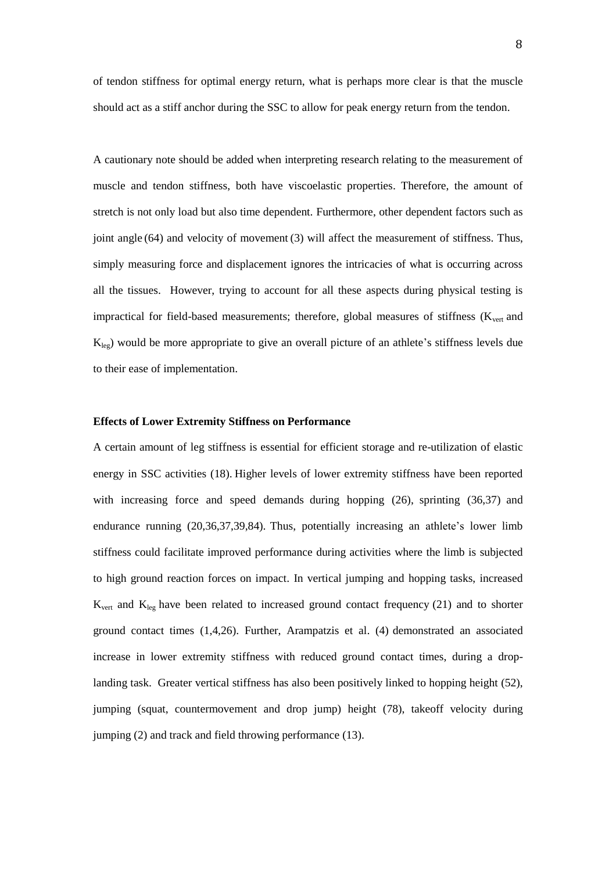of tendon stiffness for optimal energy return, what is perhaps more clear is that the muscle should act as a stiff anchor during the SSC to allow for peak energy return from the tendon.

A cautionary note should be added when interpreting research relating to the measurement of muscle and tendon stiffness, both have viscoelastic properties. Therefore, the amount of stretch is not only load but also time dependent. Furthermore, other dependent factors such as joint angle (64) and velocity of movement (3) will affect the measurement of stiffness. Thus, simply measuring force and displacement ignores the intricacies of what is occurring across all the tissues. However, trying to account for all these aspects during physical testing is impractical for field-based measurements; therefore, global measures of stiffness (K<sub>vert</sub> and  $K_{leg}$ ) would be more appropriate to give an overall picture of an athlete's stiffness levels due to their ease of implementation.

#### **Effects of Lower Extremity Stiffness on Performance**

A certain amount of leg stiffness is essential for efficient storage and re-utilization of elastic energy in SSC activities (18). Higher levels of lower extremity stiffness have been reported with increasing force and speed demands during hopping (26), sprinting (36,37) and endurance running (20,36,37,39,84). Thus, potentially increasing an athlete's lower limb stiffness could facilitate improved performance during activities where the limb is subjected to high ground reaction forces on impact. In vertical jumping and hopping tasks, increased  $K_{\text{vert}}$  and  $K_{\text{leg}}$  have been related to increased ground contact frequency (21) and to shorter ground contact times (1,4,26). Further, Arampatzis et al. (4) demonstrated an associated increase in lower extremity stiffness with reduced ground contact times, during a droplanding task. Greater vertical stiffness has also been positively linked to hopping height (52), jumping (squat, countermovement and drop jump) height (78), takeoff velocity during jumping (2) and track and field throwing performance (13).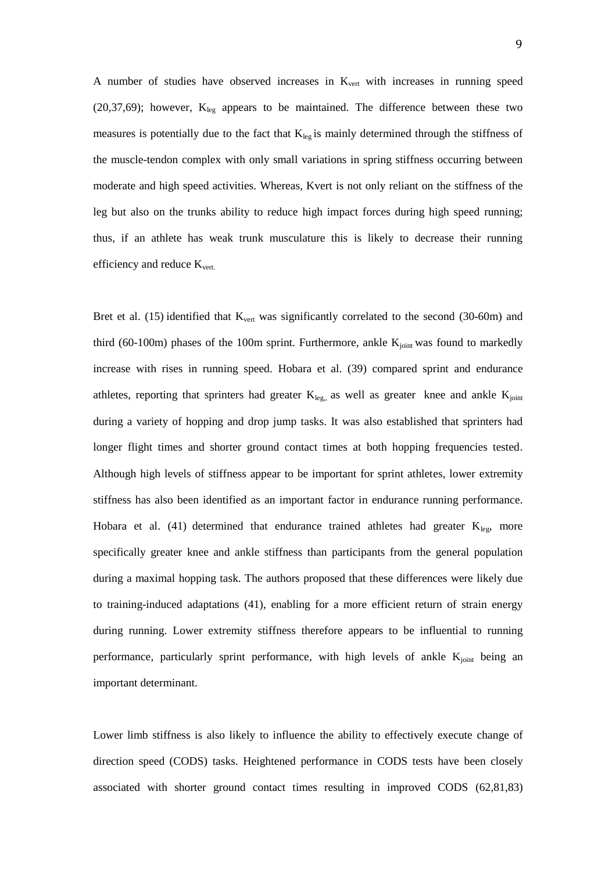A number of studies have observed increases in  $K<sub>vert</sub>$  with increases in running speed (20,37,69); however,  $K_{leg}$  appears to be maintained. The difference between these two measures is potentially due to the fact that  $K_{leg}$  is mainly determined through the stiffness of the muscle-tendon complex with only small variations in spring stiffness occurring between moderate and high speed activities. Whereas, Kvert is not only reliant on the stiffness of the leg but also on the trunks ability to reduce high impact forces during high speed running; thus, if an athlete has weak trunk musculature this is likely to decrease their running efficiency and reduce  $K_{\text{vert.}}$ 

Bret et al.  $(15)$  identified that  $K_{\text{vert}}$  was significantly correlated to the second  $(30\n-60\text{m})$  and third (60-100m) phases of the 100m sprint. Furthermore, ankle  $K_{joint}$  was found to markedly increase with rises in running speed. Hobara et al. (39) compared sprint and endurance athletes, reporting that sprinters had greater  $K_{leg}$ , as well as greater knee and ankle  $K_{joint}$ during a variety of hopping and drop jump tasks. It was also established that sprinters had longer flight times and shorter ground contact times at both hopping frequencies tested. Although high levels of stiffness appear to be important for sprint athletes, lower extremity stiffness has also been identified as an important factor in endurance running performance. Hobara et al. (41) determined that endurance trained athletes had greater  $K_{leg}$ , more specifically greater knee and ankle stiffness than participants from the general population during a maximal hopping task. The authors proposed that these differences were likely due to training-induced adaptations (41), enabling for a more efficient return of strain energy during running. Lower extremity stiffness therefore appears to be influential to running performance, particularly sprint performance, with high levels of ankle  $K<sub>joint</sub>$  being an important determinant.

Lower limb stiffness is also likely to influence the ability to effectively execute change of direction speed (CODS) tasks. Heightened performance in CODS tests have been closely associated with shorter ground contact times resulting in improved CODS (62,81,83)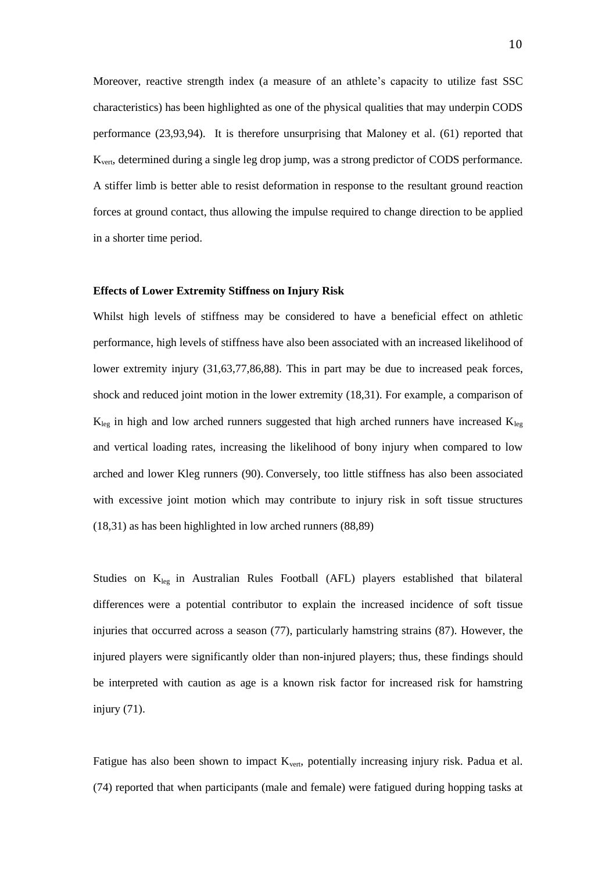Moreover, reactive strength index (a measure of an athlete's capacity to utilize fast SSC characteristics) has been highlighted as one of the physical qualities that may underpin CODS performance (23,93,94). It is therefore unsurprising that Maloney et al. (61) reported that Kvert, determined during a single leg drop jump, was a strong predictor of CODS performance. A stiffer limb is better able to resist deformation in response to the resultant ground reaction forces at ground contact, thus allowing the impulse required to change direction to be applied in a shorter time period.

### **Effects of Lower Extremity Stiffness on Injury Risk**

Whilst high levels of stiffness may be considered to have a beneficial effect on athletic performance, high levels of stiffness have also been associated with an increased likelihood of lower extremity injury (31,63,77,86,88). This in part may be due to increased peak forces, shock and reduced joint motion in the lower extremity (18,31). For example, a comparison of  $K_{leg}$  in high and low arched runners suggested that high arched runners have increased  $K_{leg}$ and vertical loading rates, increasing the likelihood of bony injury when compared to low arched and lower Kleg runners (90). Conversely, too little stiffness has also been associated with excessive joint motion which may contribute to injury risk in soft tissue structures (18,31) as has been highlighted in low arched runners (88,89)

Studies on  $K_{leg}$  in Australian Rules Football (AFL) players established that bilateral differences were a potential contributor to explain the increased incidence of soft tissue injuries that occurred across a season (77), particularly hamstring strains (87). However, the injured players were significantly older than non-injured players; thus, these findings should be interpreted with caution as age is a known risk factor for increased risk for hamstring injury (71).

Fatigue has also been shown to impact  $K_{\text{vert}}$ , potentially increasing injury risk. Padua et al. (74) reported that when participants (male and female) were fatigued during hopping tasks at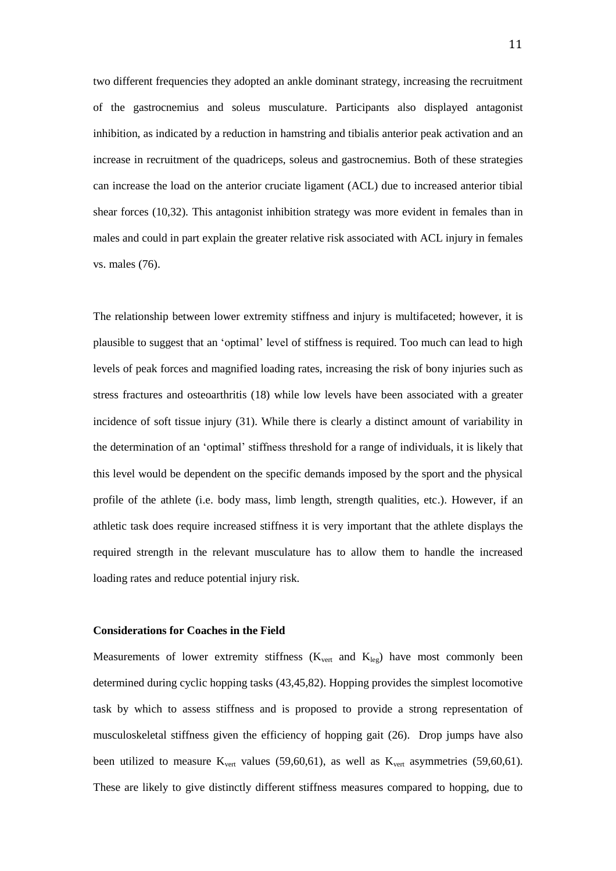two different frequencies they adopted an ankle dominant strategy, increasing the recruitment of the gastrocnemius and soleus musculature. Participants also displayed antagonist inhibition, as indicated by a reduction in hamstring and tibialis anterior peak activation and an increase in recruitment of the quadriceps, soleus and gastrocnemius. Both of these strategies can increase the load on the anterior cruciate ligament (ACL) due to increased anterior tibial shear forces (10,32). This antagonist inhibition strategy was more evident in females than in males and could in part explain the greater relative risk associated with ACL injury in females vs. males (76).

The relationship between lower extremity stiffness and injury is multifaceted; however, it is plausible to suggest that an 'optimal' level of stiffness is required. Too much can lead to high levels of peak forces and magnified loading rates, increasing the risk of bony injuries such as stress fractures and osteoarthritis (18) while low levels have been associated with a greater incidence of soft tissue injury (31). While there is clearly a distinct amount of variability in the determination of an 'optimal' stiffness threshold for a range of individuals, it is likely that this level would be dependent on the specific demands imposed by the sport and the physical profile of the athlete (i.e. body mass, limb length, strength qualities, etc.). However, if an athletic task does require increased stiffness it is very important that the athlete displays the required strength in the relevant musculature has to allow them to handle the increased loading rates and reduce potential injury risk.

## **Considerations for Coaches in the Field**

Measurements of lower extremity stiffness  $(K_{vert}$  and  $K_{leg}$ ) have most commonly been determined during cyclic hopping tasks (43,45,82). Hopping provides the simplest locomotive task by which to assess stiffness and is proposed to provide a strong representation of musculoskeletal stiffness given the efficiency of hopping gait (26). Drop jumps have also been utilized to measure  $K_{vert}$  values (59,60,61), as well as  $K_{vert}$  asymmetries (59,60,61). These are likely to give distinctly different stiffness measures compared to hopping, due to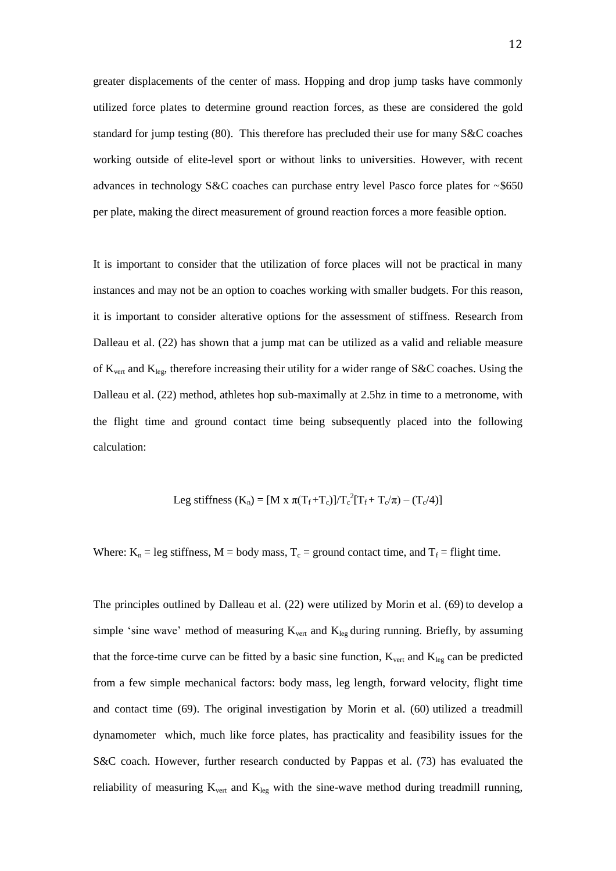greater displacements of the center of mass. Hopping and drop jump tasks have commonly utilized force plates to determine ground reaction forces, as these are considered the gold standard for jump testing (80). This therefore has precluded their use for many S&C coaches working outside of elite-level sport or without links to universities. However, with recent advances in technology S&C coaches can purchase entry level Pasco force plates for ~\$650 per plate, making the direct measurement of ground reaction forces a more feasible option.

It is important to consider that the utilization of force places will not be practical in many instances and may not be an option to coaches working with smaller budgets. For this reason, it is important to consider alterative options for the assessment of stiffness. Research from Dalleau et al. (22) has shown that a jump mat can be utilized as a valid and reliable measure of  $K_{\text{vert}}$  and  $K_{\text{leg}}$ , therefore increasing their utility for a wider range of S&C coaches. Using the Dalleau et al. (22) method, athletes hop sub-maximally at 2.5hz in time to a metronome, with the flight time and ground contact time being subsequently placed into the following calculation:

Leg stiffness 
$$
(K_n) = [M x \pi (T_f + T_c)]/T_c^2 [T_f + T_c/\pi) - (T_c/4)]
$$

Where:  $K_n = \text{leg stiffness}, M = \text{body mass}, T_c = \text{ground contact time}, \text{and } T_f = \text{flight time}.$ 

The principles outlined by Dalleau et al. (22) were utilized by Morin et al. (69) to develop a simple 'sine wave' method of measuring  $K_{\text{vert}}$  and  $K_{\text{leg}}$  during running. Briefly, by assuming that the force-time curve can be fitted by a basic sine function,  $K_{vert}$  and  $K_{leg}$  can be predicted from a few simple mechanical factors: body mass, leg length, forward velocity, flight time and contact time (69). The original investigation by Morin et al. (60) utilized a treadmill dynamometer which, much like force plates, has practicality and feasibility issues for the S&C coach. However, further research conducted by Pappas et al. (73) has evaluated the reliability of measuring  $K_{\text{vert}}$  and  $K_{\text{leg}}$  with the sine-wave method during treadmill running,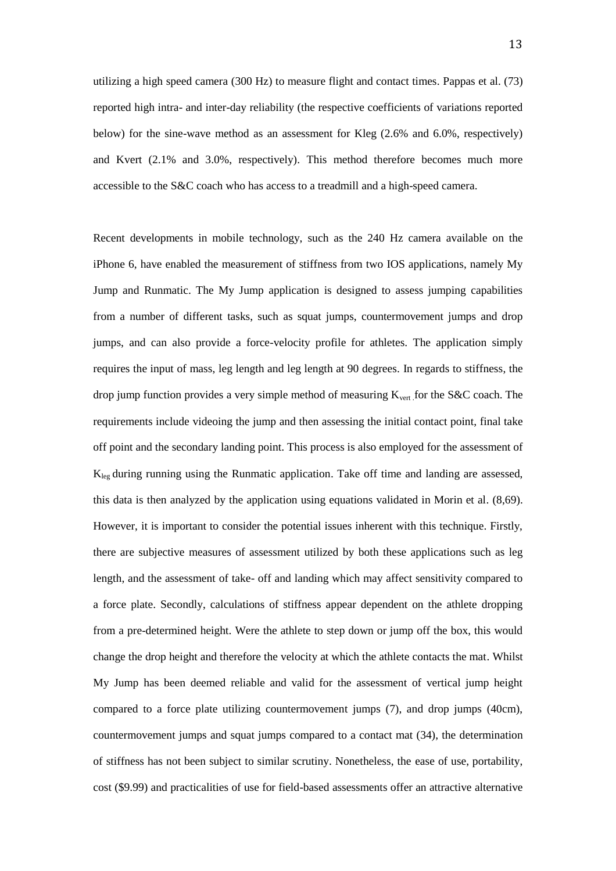utilizing a high speed camera (300 Hz) to measure flight and contact times. Pappas et al. (73) reported high intra- and inter-day reliability (the respective coefficients of variations reported below) for the sine-wave method as an assessment for Kleg (2.6% and 6.0%, respectively) and Kvert (2.1% and 3.0%, respectively). This method therefore becomes much more accessible to the S&C coach who has access to a treadmill and a high-speed camera.

Recent developments in mobile technology, such as the 240 Hz camera available on the iPhone 6, have enabled the measurement of stiffness from two IOS applications, namely My Jump and Runmatic. The My Jump application is designed to assess jumping capabilities from a number of different tasks, such as squat jumps, countermovement jumps and drop jumps, and can also provide a force-velocity profile for athletes. The application simply requires the input of mass, leg length and leg length at 90 degrees. In regards to stiffness, the drop jump function provides a very simple method of measuring  $K_{\text{vert}}$  for the S&C coach. The requirements include videoing the jump and then assessing the initial contact point, final take off point and the secondary landing point. This process is also employed for the assessment of  $K_{\text{leg}}$  during running using the Runmatic application. Take off time and landing are assessed, this data is then analyzed by the application using equations validated in Morin et al. (8,69). However, it is important to consider the potential issues inherent with this technique. Firstly, there are subjective measures of assessment utilized by both these applications such as leg length, and the assessment of take- off and landing which may affect sensitivity compared to a force plate. Secondly, calculations of stiffness appear dependent on the athlete dropping from a pre-determined height. Were the athlete to step down or jump off the box, this would change the drop height and therefore the velocity at which the athlete contacts the mat. Whilst My Jump has been deemed reliable and valid for the assessment of vertical jump height compared to a force plate utilizing countermovement jumps (7), and drop jumps (40cm), countermovement jumps and squat jumps compared to a contact mat (34), the determination of stiffness has not been subject to similar scrutiny. Nonetheless, the ease of use, portability, cost (\$9.99) and practicalities of use for field-based assessments offer an attractive alternative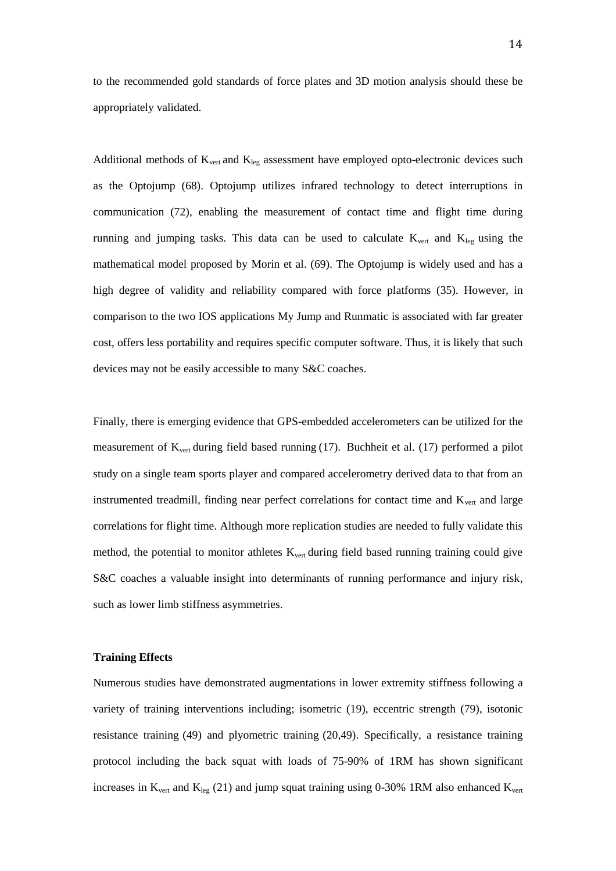to the recommended gold standards of force plates and 3D motion analysis should these be appropriately validated.

Additional methods of  $K_{vert}$  and  $K_{leg}$  assessment have employed opto-electronic devices such as the Optojump (68). Optojump utilizes infrared technology to detect interruptions in communication (72), enabling the measurement of contact time and flight time during running and jumping tasks. This data can be used to calculate  $K_{vert}$  and  $K_{leg}$  using the mathematical model proposed by Morin et al. (69). The Optojump is widely used and has a high degree of validity and reliability compared with force platforms (35). However, in comparison to the two IOS applications My Jump and Runmatic is associated with far greater cost, offers less portability and requires specific computer software. Thus, it is likely that such devices may not be easily accessible to many S&C coaches.

Finally, there is emerging evidence that GPS-embedded accelerometers can be utilized for the measurement of  $K_{vert}$  during field based running (17). Buchheit et al. (17) performed a pilot study on a single team sports player and compared accelerometry derived data to that from an instrumented treadmill, finding near perfect correlations for contact time and K<sub>vert</sub> and large correlations for flight time. Although more replication studies are needed to fully validate this method, the potential to monitor athletes  $K_{\text{vert}}$  during field based running training could give S&C coaches a valuable insight into determinants of running performance and injury risk, such as lower limb stiffness asymmetries.

#### **Training Effects**

Numerous studies have demonstrated augmentations in lower extremity stiffness following a variety of training interventions including; isometric (19), eccentric strength (79), isotonic resistance training (49) and plyometric training (20,49). Specifically, a resistance training protocol including the back squat with loads of 75-90% of 1RM has shown significant increases in  $K_{vert}$  and  $K_{leg}$  (21) and jump squat training using 0-30% 1RM also enhanced  $K_{vert}$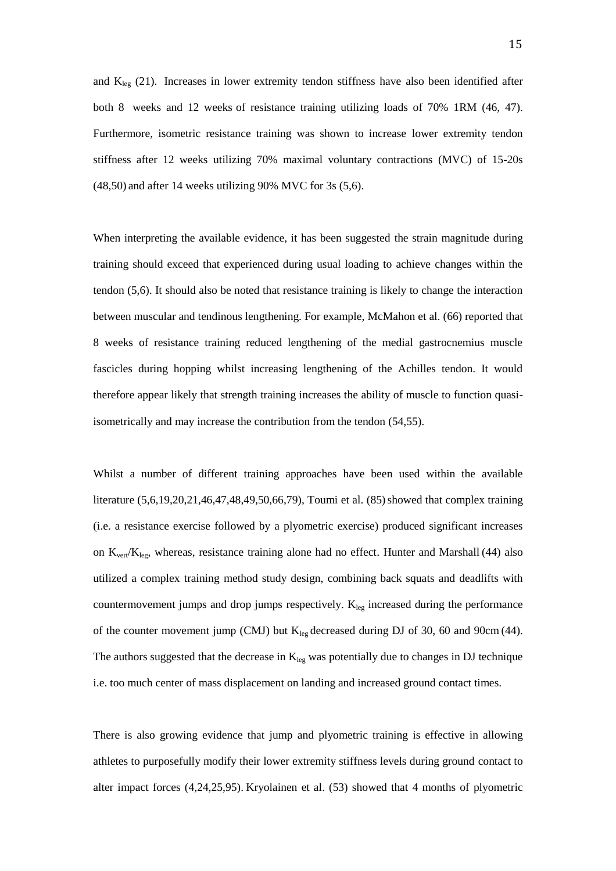and  $K_{leg}$  (21). Increases in lower extremity tendon stiffness have also been identified after both 8 weeks and 12 weeks of resistance training utilizing loads of 70% 1RM (46, 47). Furthermore, isometric resistance training was shown to increase lower extremity tendon stiffness after 12 weeks utilizing 70% maximal voluntary contractions (MVC) of 15-20s (48,50) and after 14 weeks utilizing 90% MVC for 3s (5,6).

When interpreting the available evidence, it has been suggested the strain magnitude during training should exceed that experienced during usual loading to achieve changes within the tendon (5,6). It should also be noted that resistance training is likely to change the interaction between muscular and tendinous lengthening. For example, McMahon et al. (66) reported that 8 weeks of resistance training reduced lengthening of the medial gastrocnemius muscle fascicles during hopping whilst increasing lengthening of the Achilles tendon. It would therefore appear likely that strength training increases the ability of muscle to function quasiisometrically and may increase the contribution from the tendon (54,55).

Whilst a number of different training approaches have been used within the available literature (5,6,19,20,21,46,47,48,49,50,66,79), Toumi et al. (85)showed that complex training (i.e. a resistance exercise followed by a plyometric exercise) produced significant increases on  $K_{vert}/K_{leg}$ , whereas, resistance training alone had no effect. Hunter and Marshall (44) also utilized a complex training method study design, combining back squats and deadlifts with countermovement jumps and drop jumps respectively.  $K_{leg}$  increased during the performance of the counter movement jump (CMJ) but  $K_{leg}$  decreased during DJ of 30, 60 and 90cm (44). The authors suggested that the decrease in  $K_{leg}$  was potentially due to changes in DJ technique i.e. too much center of mass displacement on landing and increased ground contact times.

There is also growing evidence that jump and plyometric training is effective in allowing athletes to purposefully modify their lower extremity stiffness levels during ground contact to alter impact forces (4,24,25,95). Kryolainen et al. (53) showed that 4 months of plyometric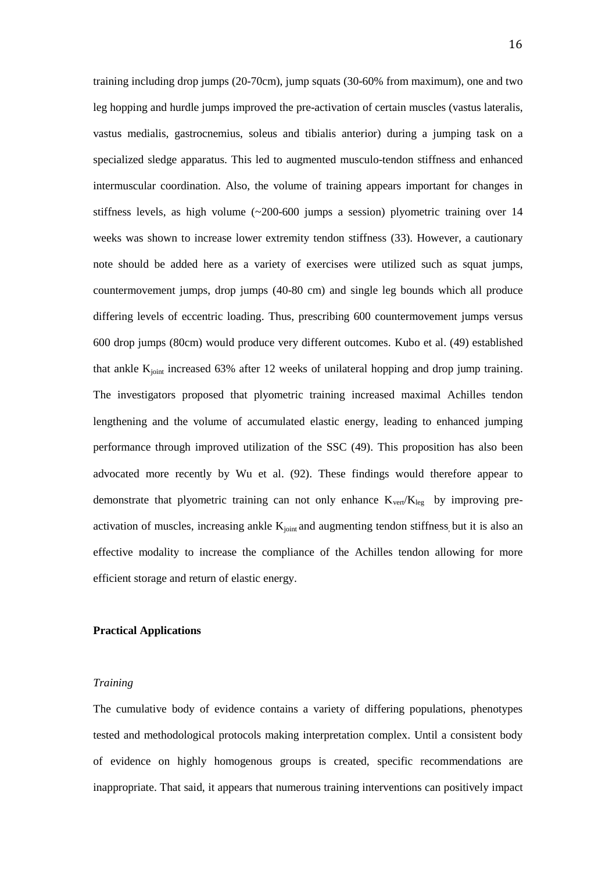training including drop jumps (20-70cm), jump squats (30-60% from maximum), one and two leg hopping and hurdle jumps improved the pre-activation of certain muscles (vastus lateralis, vastus medialis, gastrocnemius, soleus and tibialis anterior) during a jumping task on a specialized sledge apparatus. This led to augmented musculo-tendon stiffness and enhanced intermuscular coordination. Also, the volume of training appears important for changes in stiffness levels, as high volume  $(\sim 200 - 600)$  jumps a session) plyometric training over 14 weeks was shown to increase lower extremity tendon stiffness (33). However, a cautionary note should be added here as a variety of exercises were utilized such as squat jumps, countermovement jumps, drop jumps (40-80 cm) and single leg bounds which all produce differing levels of eccentric loading. Thus, prescribing 600 countermovement jumps versus 600 drop jumps (80cm) would produce very different outcomes. Kubo et al. (49) established that ankle  $K<sub>joint</sub>$  increased 63% after 12 weeks of unilateral hopping and drop jump training. The investigators proposed that plyometric training increased maximal Achilles tendon lengthening and the volume of accumulated elastic energy, leading to enhanced jumping performance through improved utilization of the SSC (49). This proposition has also been advocated more recently by Wu et al. (92). These findings would therefore appear to demonstrate that plyometric training can not only enhance  $K_{vert}/K_{leg}$  by improving preactivation of muscles, increasing ankle K<sub>joint</sub> and augmenting tendon stiffness, but it is also an effective modality to increase the compliance of the Achilles tendon allowing for more efficient storage and return of elastic energy.

#### **Practical Applications**

#### *Training*

The cumulative body of evidence contains a variety of differing populations, phenotypes tested and methodological protocols making interpretation complex. Until a consistent body of evidence on highly homogenous groups is created, specific recommendations are inappropriate. That said, it appears that numerous training interventions can positively impact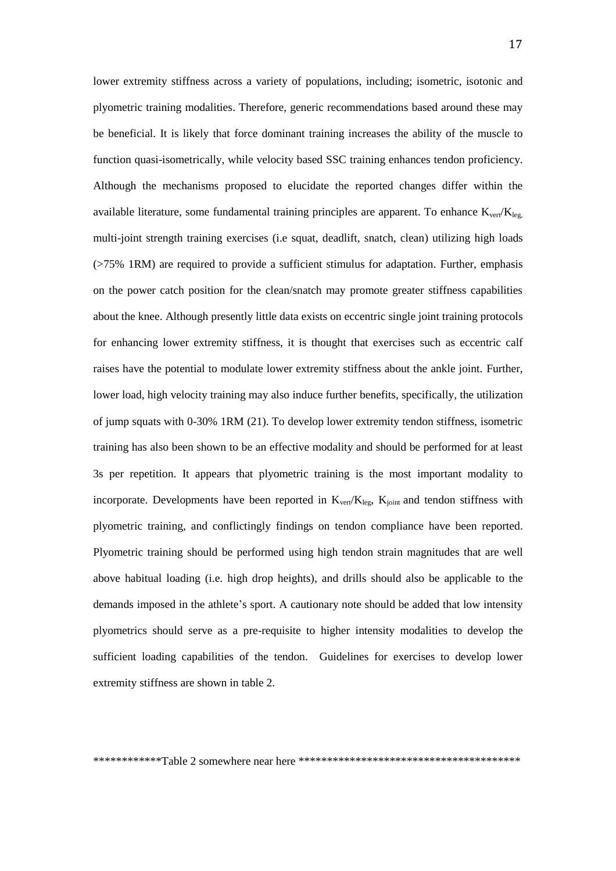lower extremity stiffness across a variety of populations, including; isometric, isotonic and plyometric training modalities. Therefore, generic recommendations based around these may be beneficial. It is likely that force dominant training increases the ability of the muscle to function quasi-isometrically, while velocity based SSC training enhances tendon proficiency. Although the mechanisms proposed to elucidate the reported changes differ within the available literature, some fundamental training principles are apparent. To enhance  $K_{vert}/K_{leg}$ , multi-joint strength training exercises (i.e squat, deadlift, snatch, clean) utilizing high loads (>75% 1RM) are required to provide a sufficient stimulus for adaptation. Further, emphasis on the power catch position for the clean/snatch may promote greater stiffness capabilities about the knee. Although presently little data exists on eccentric single joint training protocols for enhancing lower extremity stiffness, it is thought that exercises such as eccentric calf raises have the potential to modulate lower extremity stiffness about the ankle joint. Further, lower load, high velocity training may also induce further benefits, specifically, the utilization of jump squats with 0-30% 1RM (21). To develop lower extremity tendon stiffness, isometric training has also been shown to be an effective modality and should be performed for at least 3s per repetition. It appears that plyometric training is the most important modality to incorporate. Developments have been reported in  $K_{vert}/K_{leg}$ ,  $K_{joint}$  and tendon stiffness with plyometric training, and conflictingly findings on tendon compliance have been reported. Plyometric training should be performed using high tendon strain magnitudes that are well above habitual loading (i.e. high drop heights), and drills should also be applicable to the demands imposed in the athlete's sport. A cautionary note should be added that low intensity plyometrics should serve as a pre-requisite to higher intensity modalities to develop the sufficient loading capabilities of the tendon. Guidelines for exercises to develop lower extremity stiffness are shown in table 2.

\*\*\*\*\*\*\*\*\*\*\*\*Table 2 somewhere near here \*\*\*\*\*\*\*\*\*\*\*\*\*\*\*\*\*\*\*\*\*\*\*\*\*\*\*\*\*\*\*\*\*\*\*\*\*\*\*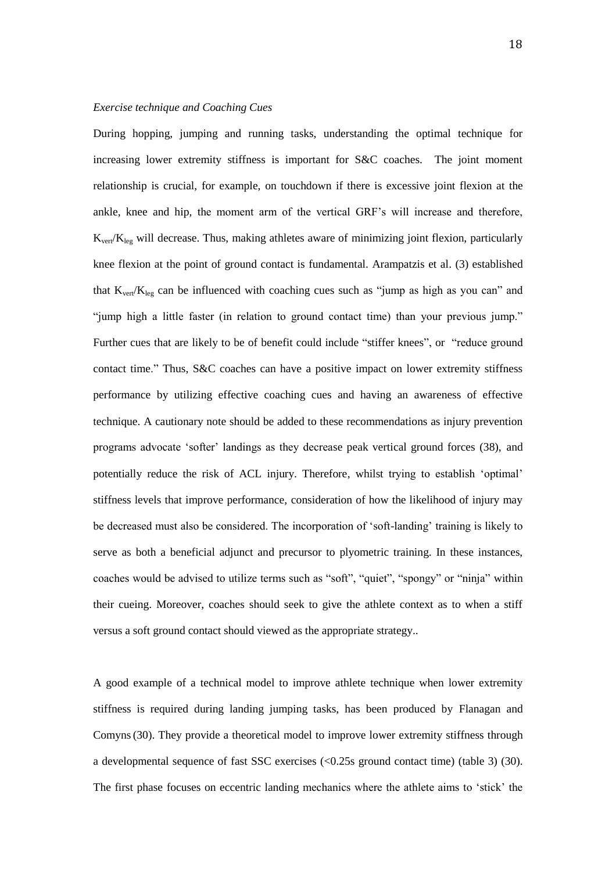#### *Exercise technique and Coaching Cues*

During hopping, jumping and running tasks, understanding the optimal technique for increasing lower extremity stiffness is important for S&C coaches. The joint moment relationship is crucial, for example, on touchdown if there is excessive joint flexion at the ankle, knee and hip, the moment arm of the vertical GRF's will increase and therefore,  $K_{\text{vert}}/K_{\text{leg}}$  will decrease. Thus, making athletes aware of minimizing joint flexion, particularly knee flexion at the point of ground contact is fundamental. Arampatzis et al. (3) established that  $K_{\text{vert}}/K_{\text{leg}}$  can be influenced with coaching cues such as "jump as high as you can" and "jump high a little faster (in relation to ground contact time) than your previous jump." Further cues that are likely to be of benefit could include "stiffer knees", or "reduce ground contact time." Thus, S&C coaches can have a positive impact on lower extremity stiffness performance by utilizing effective coaching cues and having an awareness of effective technique. A cautionary note should be added to these recommendations as injury prevention programs advocate 'softer' landings as they decrease peak vertical ground forces (38), and potentially reduce the risk of ACL injury. Therefore, whilst trying to establish 'optimal' stiffness levels that improve performance, consideration of how the likelihood of injury may be decreased must also be considered. The incorporation of 'soft-landing' training is likely to serve as both a beneficial adjunct and precursor to plyometric training. In these instances, coaches would be advised to utilize terms such as "soft", "quiet", "spongy" or "ninja" within their cueing. Moreover, coaches should seek to give the athlete context as to when a stiff versus a soft ground contact should viewed as the appropriate strategy..

A good example of a technical model to improve athlete technique when lower extremity stiffness is required during landing jumping tasks, has been produced by Flanagan and Comyns(30). They provide a theoretical model to improve lower extremity stiffness through a developmental sequence of fast SSC exercises (<0.25s ground contact time) (table 3) (30). The first phase focuses on eccentric landing mechanics where the athlete aims to 'stick' the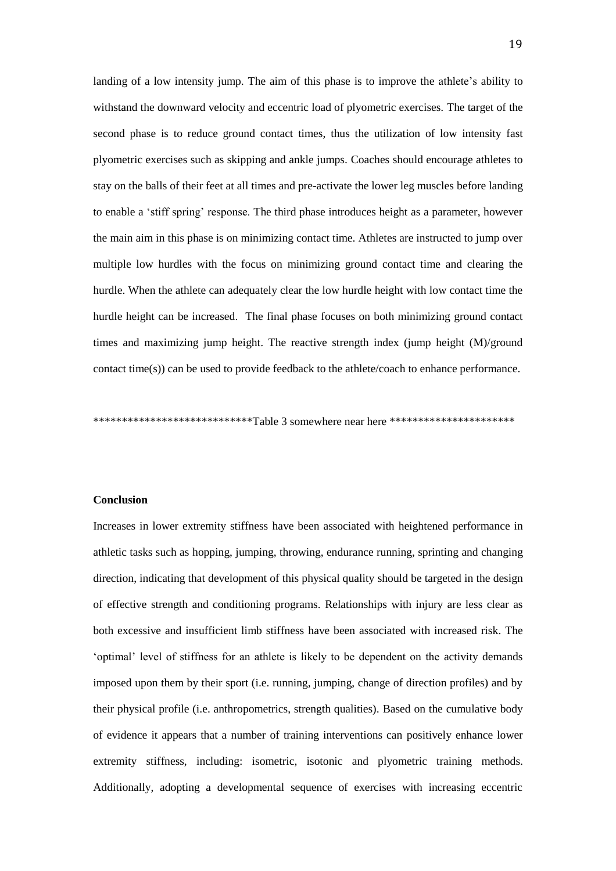landing of a low intensity jump. The aim of this phase is to improve the athlete's ability to withstand the downward velocity and eccentric load of plyometric exercises. The target of the second phase is to reduce ground contact times, thus the utilization of low intensity fast plyometric exercises such as skipping and ankle jumps. Coaches should encourage athletes to stay on the balls of their feet at all times and pre-activate the lower leg muscles before landing to enable a 'stiff spring' response. The third phase introduces height as a parameter, however the main aim in this phase is on minimizing contact time. Athletes are instructed to jump over multiple low hurdles with the focus on minimizing ground contact time and clearing the hurdle. When the athlete can adequately clear the low hurdle height with low contact time the hurdle height can be increased. The final phase focuses on both minimizing ground contact times and maximizing jump height. The reactive strength index (jump height (M)/ground contact time(s)) can be used to provide feedback to the athlete/coach to enhance performance.

\*\*\*\*\*\*\*\*\*\*\*\*\*\*\*\*\*\*\*\*\*\*\*\*\*\*\*\*Table 3 somewhere near here \*\*\*\*\*\*\*\*\*\*\*\*\*\*\*\*\*\*\*\*\*\*\*

#### **Conclusion**

Increases in lower extremity stiffness have been associated with heightened performance in athletic tasks such as hopping, jumping, throwing, endurance running, sprinting and changing direction, indicating that development of this physical quality should be targeted in the design of effective strength and conditioning programs. Relationships with injury are less clear as both excessive and insufficient limb stiffness have been associated with increased risk. The 'optimal' level of stiffness for an athlete is likely to be dependent on the activity demands imposed upon them by their sport (i.e. running, jumping, change of direction profiles) and by their physical profile (i.e. anthropometrics, strength qualities). Based on the cumulative body of evidence it appears that a number of training interventions can positively enhance lower extremity stiffness, including: isometric, isotonic and plyometric training methods. Additionally, adopting a developmental sequence of exercises with increasing eccentric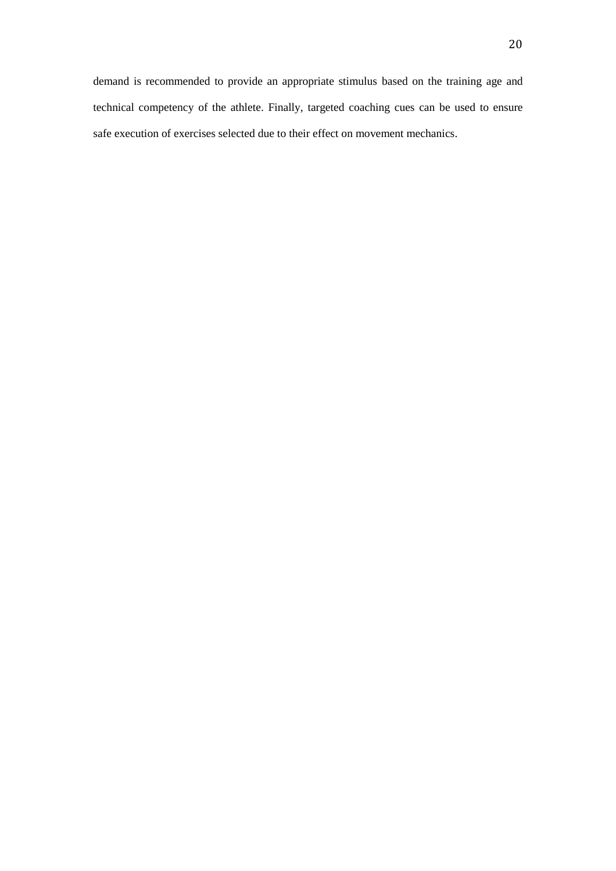demand is recommended to provide an appropriate stimulus based on the training age and technical competency of the athlete. Finally, targeted coaching cues can be used to ensure safe execution of exercises selected due to their effect on movement mechanics.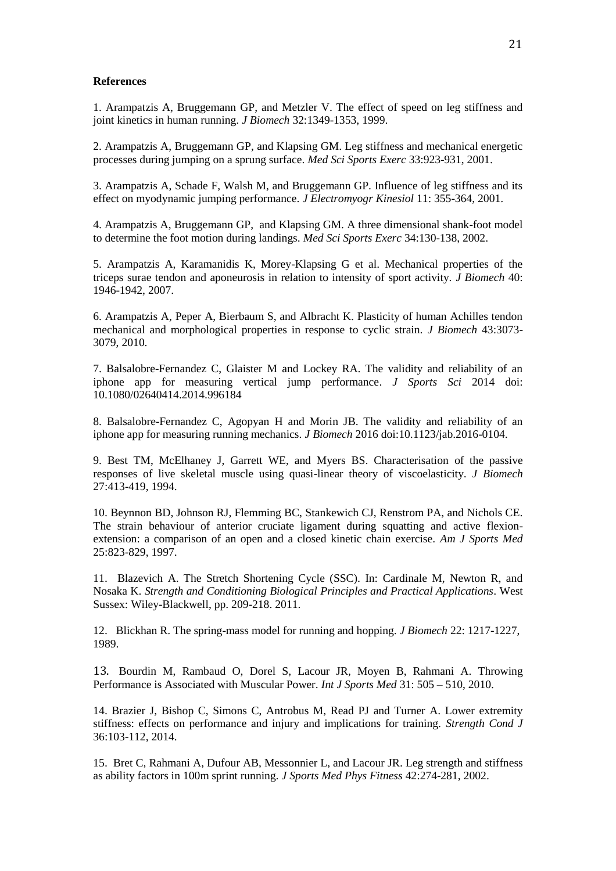#### **References**

1. Arampatzis A, Bruggemann GP, and Metzler V. The effect of speed on leg stiffness and joint kinetics in human running. *J Biomech* 32:1349-1353, 1999.

2. Arampatzis A, Bruggemann GP, and Klapsing GM. Leg stiffness and mechanical energetic processes during jumping on a sprung surface. *Med Sci Sports Exerc* 33:923-931, 2001.

3. Arampatzis A, Schade F, Walsh M, and Bruggemann GP. Influence of leg stiffness and its effect on myodynamic jumping performance. *J Electromyogr Kinesiol* 11: 355-364, 2001.

4. Arampatzis A, Bruggemann GP, and Klapsing GM. A three dimensional shank-foot model to determine the foot motion during landings. *Med Sci Sports Exerc* 34:130-138, 2002.

5. Arampatzis A, Karamanidis K, Morey-Klapsing G et al. Mechanical properties of the triceps surae tendon and aponeurosis in relation to intensity of sport activity. *J Biomech* 40: 1946-1942, 2007.

6. Arampatzis A, Peper A, Bierbaum S, and Albracht K. Plasticity of human Achilles tendon mechanical and morphological properties in response to cyclic strain. *J Biomech* 43:3073- 3079, 2010.

7. Balsalobre-Fernandez C, Glaister M and Lockey RA. The validity and reliability of an iphone app for measuring vertical jump performance. *J Sports Sci* 2014 doi: 10.1080/02640414.2014.996184

8. Balsalobre-Fernandez C, Agopyan H and Morin JB. The validity and reliability of an iphone app for measuring running mechanics. *J Biomech* 2016 doi:10.1123/jab.2016-0104.

9. Best TM, McElhaney J, Garrett WE, and Myers BS. Characterisation of the passive responses of live skeletal muscle using quasi-linear theory of viscoelasticity. *J Biomech* 27:413-419, 1994.

10. Beynnon BD, Johnson RJ, Flemming BC, Stankewich CJ, Renstrom PA, and Nichols CE. The strain behaviour of anterior cruciate ligament during squatting and active flexionextension: a comparison of an open and a closed kinetic chain exercise. *Am J Sports Med* 25:823-829, 1997.

11. Blazevich A. The Stretch Shortening Cycle (SSC). In: Cardinale M, Newton R, and Nosaka K. *Strength and Conditioning Biological Principles and Practical Applications*. West Sussex: Wiley-Blackwell, pp. 209-218. 2011.

12. Blickhan R. The spring-mass model for running and hopping. *J Biomech* 22: 1217-1227, 1989.

13. [Bourdin M,](https://www.ncbi.nlm.nih.gov/pubmed/?term=Bourdin%20M%5BAuthor%5D&cauthor=true&cauthor_uid=20419619) [Rambaud O,](https://www.ncbi.nlm.nih.gov/pubmed/?term=Rambaud%20O%5BAuthor%5D&cauthor=true&cauthor_uid=20419619) Dorel S, [Lacour JR,](https://www.ncbi.nlm.nih.gov/pubmed/?term=Lacour%20JR%5BAuthor%5D&cauthor=true&cauthor_uid=20419619) [Moyen B,](https://www.ncbi.nlm.nih.gov/pubmed/?term=Moyen%20B%5BAuthor%5D&cauthor=true&cauthor_uid=20419619) [Rahmani A.](https://www.ncbi.nlm.nih.gov/pubmed/?term=Rahmani%20A%5BAuthor%5D&cauthor=true&cauthor_uid=20419619) Throwing Performance is Associated with Muscular Power. *Int J Sports Med* 31: 505 – 510, 2010.

14. Brazier J, Bishop C, Simons C, Antrobus M, Read PJ and Turner A. Lower extremity stiffness: effects on performance and injury and implications for training. *Strength Cond J*  36:103-112, 2014.

15. Bret C, Rahmani A, Dufour AB, Messonnier L, and Lacour JR. Leg strength and stiffness as ability factors in 100m sprint running. *J Sports Med Phys Fitness* 42:274-281, 2002.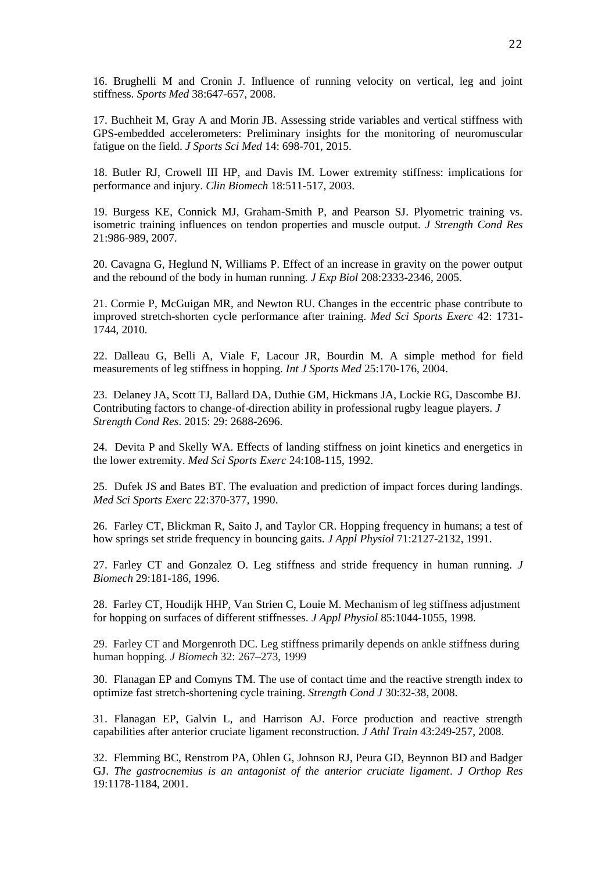16. Brughelli M and Cronin J. Influence of running velocity on vertical, leg and joint stiffness. *Sports Med* 38:647-657, 2008.

17. Buchheit M, Gray A and Morin JB. Assessing stride variables and vertical stiffness with GPS-embedded accelerometers: Preliminary insights for the monitoring of neuromuscular fatigue on the field. *J Sports Sci Med* 14: 698-701, 2015.

18. Butler RJ, Crowell III HP, and Davis IM. Lower extremity stiffness: implications for performance and injury. *Clin Biomech* 18:511-517, 2003.

19. Burgess KE, Connick MJ, Graham-Smith P, and Pearson SJ. Plyometric training vs. isometric training influences on tendon properties and muscle output. *J Strength Cond Res* 21:986-989, 2007.

20. Cavagna G, Heglund N, Williams P. Effect of an increase in gravity on the power output and the rebound of the body in human running. *J Exp Biol* 208:2333-2346, 2005.

21. Cormie P, McGuigan MR, and Newton RU. Changes in the eccentric phase contribute to improved stretch-shorten cycle performance after training. *Med Sci Sports Exerc* 42: 1731- 1744, 2010.

22. Dalleau G, Belli A, Viale F, Lacour JR, Bourdin M. A simple method for field measurements of leg stiffness in hopping. *Int J Sports Med* 25:170-176, 2004.

23. Delaney JA, Scott TJ, Ballard DA, Duthie GM, Hickmans JA, Lockie RG, Dascombe BJ. Contributing factors to change-of-direction ability in professional rugby league players. *J Strength Cond Res*. 2015: 29: 2688-2696.

24. Devita P and Skelly WA. Effects of landing stiffness on joint kinetics and energetics in the lower extremity. *Med Sci Sports Exerc* 24:108-115, 1992.

25. Dufek JS and Bates BT. The evaluation and prediction of impact forces during landings. *Med Sci Sports Exerc* 22:370-377, 1990.

26. Farley CT, Blickman R, Saito J, and Taylor CR. Hopping frequency in humans; a test of how springs set stride frequency in bouncing gaits. *J Appl Physiol* 71:2127-2132, 1991.

27. Farley CT and Gonzalez O. Leg stiffness and stride frequency in human running. *J Biomech* 29:181-186, 1996.

28. Farley CT, Houdijk HHP, Van Strien C, Louie M. Mechanism of leg stiffness adjustment for hopping on surfaces of different stiffnesses. *J Appl Physiol* 85:1044-1055, 1998.

29. Farley CT and Morgenroth DC. Leg stiffness primarily depends on ankle stiffness during human hopping. *J Biomech* 32: 267–273, 1999

30. Flanagan EP and Comyns TM. The use of contact time and the reactive strength index to optimize fast stretch-shortening cycle training. *Strength Cond J* 30:32-38, 2008.

31. Flanagan EP, Galvin L, and Harrison AJ. Force production and reactive strength capabilities after anterior cruciate ligament reconstruction. *J Athl Train* 43:249-257, 2008.

32. Flemming BC, Renstrom PA, Ohlen G, Johnson RJ, Peura GD, Beynnon BD and Badger GJ. *The gastrocnemius is an antagonist of the anterior cruciate ligament*. *J Orthop Res*  19:1178-1184, 2001.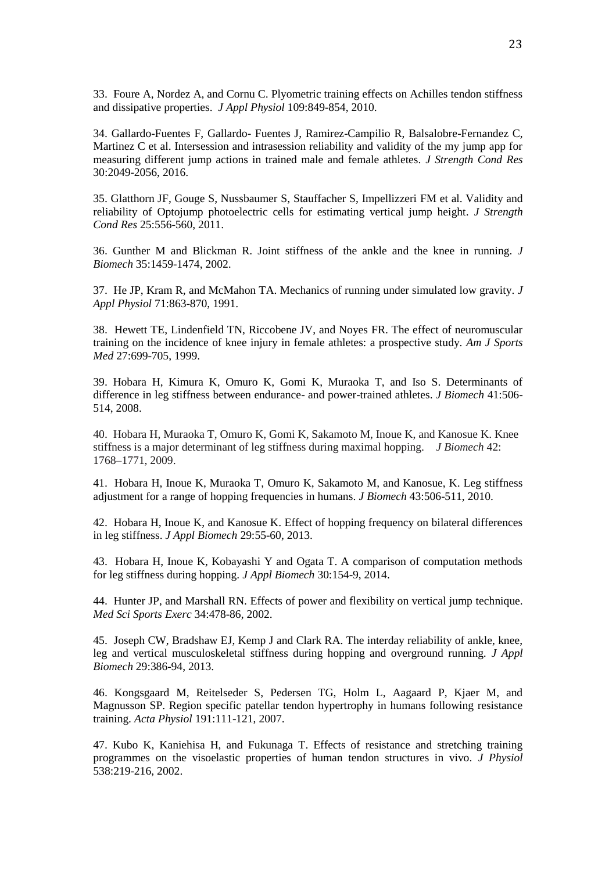33. Foure A, Nordez A, and Cornu C. Plyometric training effects on Achilles tendon stiffness and dissipative properties. *J Appl Physiol* 109:849-854, 2010.

34. Gallardo-Fuentes F, Gallardo- Fuentes J, Ramirez-Campilio R, Balsalobre-Fernandez C, Martinez C et al. Intersession and intrasession reliability and validity of the my jump app for measuring different jump actions in trained male and female athletes. *J Strength Cond Res* 30:2049-2056, 2016.

35. Glatthorn JF, Gouge S, Nussbaumer S, Stauffacher S, Impellizzeri FM et al. Validity and reliability of Optojump photoelectric cells for estimating vertical jump height. *J Strength Cond Res* 25:556-560, 2011.

36. Gunther M and Blickman R. Joint stiffness of the ankle and the knee in running. *J Biomech* 35:1459-1474, 2002.

37. He JP, Kram R, and McMahon TA. Mechanics of running under simulated low gravity. *J Appl Physiol* 71:863-870, 1991.

38. Hewett TE, Lindenfield TN, Riccobene JV, and Noyes FR. The effect of neuromuscular training on the incidence of knee injury in female athletes: a prospective study. *Am J Sports Med* 27:699-705, 1999.

39. Hobara H, Kimura K, Omuro K, Gomi K, Muraoka T, and Iso S. Determinants of difference in leg stiffness between endurance- and power-trained athletes. *J Biomech* 41:506- 514, 2008.

40. Hobara H, Muraoka T, Omuro K, Gomi K, Sakamoto M, Inoue K, and Kanosue K. Knee stiffness is a major determinant of leg stiffness during maximal hopping. *J Biomech* 42: 1768–1771, 2009.

41. Hobara H, Inoue K, Muraoka T, Omuro K, Sakamoto M, and Kanosue, K. Leg stiffness adjustment for a range of hopping frequencies in humans. *J Biomech* 43:506-511, 2010.

42. Hobara H, Inoue K, and Kanosue K. Effect of hopping frequency on bilateral differences in leg stiffness. *J Appl Biomech* 29:55-60, 2013.

43. Hobara H, Inoue K, Kobayashi Y and Ogata T. A comparison of computation methods for leg stiffness during hopping. *J Appl Biomech* 30:154-9, 2014.

44. Hunter JP, and Marshall RN. Effects of power and flexibility on vertical jump technique. *Med Sci Sports Exerc* 34:478-86, 2002.

45. Joseph CW, Bradshaw EJ, Kemp J and Clark RA. The interday reliability of ankle, knee, leg and vertical musculoskeletal stiffness during hopping and overground running. *J Appl Biomech* 29:386-94, 2013.

46. Kongsgaard M, Reitelseder S, Pedersen TG, Holm L, Aagaard P, Kjaer M, and Magnusson SP. Region specific patellar tendon hypertrophy in humans following resistance training. *Acta Physiol* 191:111-121, 2007.

47. Kubo K, Kaniehisa H, and Fukunaga T. Effects of resistance and stretching training programmes on the visoelastic properties of human tendon structures in vivo. *J Physiol* 538:219-216, 2002.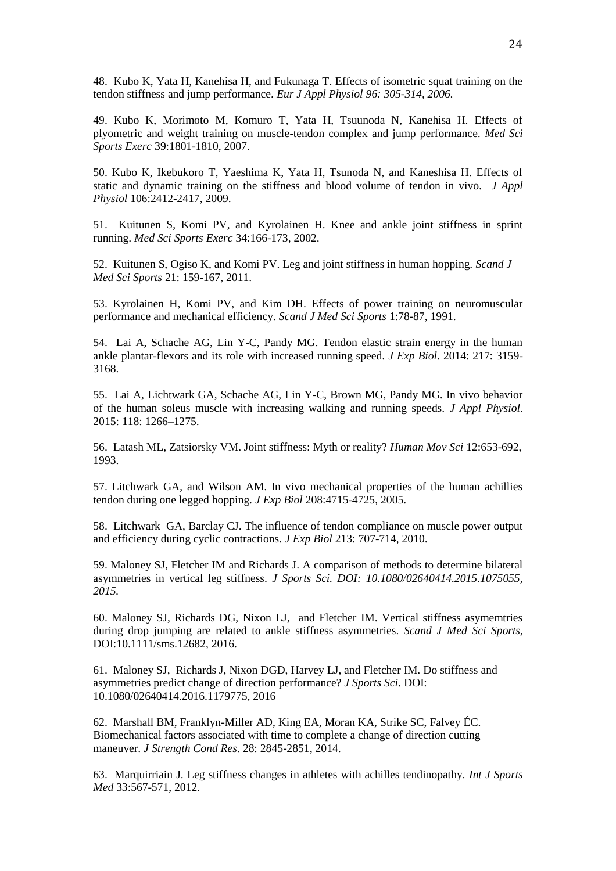48. Kubo K, Yata H, Kanehisa H, and Fukunaga T. Effects of isometric squat training on the tendon stiffness and jump performance. *Eur J Appl Physiol 96: 305-314, 2006.*

49. Kubo K, Morimoto M, Komuro T, Yata H, Tsuunoda N, Kanehisa H. Effects of plyometric and weight training on muscle-tendon complex and jump performance. *Med Sci Sports Exerc* 39:1801-1810, 2007.

50. Kubo K, Ikebukoro T, Yaeshima K, Yata H, Tsunoda N, and Kaneshisa H. Effects of static and dynamic training on the stiffness and blood volume of tendon in vivo. *J Appl Physiol* 106:2412-2417, 2009.

51. Kuitunen S, Komi PV, and Kyrolainen H. Knee and ankle joint stiffness in sprint running. *Med Sci Sports Exerc* 34:166-173, 2002.

52. Kuitunen S, Ogiso K, and Komi PV. Leg and joint stiffness in human hopping. *Scand J Med Sci Sports* 21: 159-167, 2011.

53. Kyrolainen H, Komi PV, and Kim DH. Effects of power training on neuromuscular performance and mechanical efficiency. *Scand J Med Sci Sports* 1:78-87, 1991.

54. Lai A, Schache AG, Lin Y-C, Pandy MG. Tendon elastic strain energy in the human ankle plantar-flexors and its role with increased running speed. *J Exp Biol*. 2014: 217: 3159- 3168.

55. Lai A, Lichtwark GA, Schache AG, Lin Y-C, Brown MG, Pandy MG. In vivo behavior of the human soleus muscle with increasing walking and running speeds. *J Appl Physiol*. 2015: 118: 1266–1275.

56. Latash ML, Zatsiorsky VM. Joint stiffness: Myth or reality? *Human Mov Sci* 12:653-692, 1993.

57. Litchwark GA, and Wilson AM. In vivo mechanical properties of the human achillies tendon during one legged hopping. *J Exp Biol* 208:4715-4725, 2005.

58. Litchwark GA, Barclay CJ. The influence of tendon compliance on muscle power output and efficiency during cyclic contractions. *J Exp Biol* 213: 707-714, 2010.

59. Maloney SJ, Fletcher IM and Richards J. A comparison of methods to determine bilateral asymmetries in vertical leg stiffness. *J Sports Sci. DOI: 10.1080/02640414.2015.1075055, 2015.*

60. Maloney SJ, Richards DG, Nixon LJ, and Fletcher IM. Vertical stiffness asymemtries during drop jumping are related to ankle stiffness asymmetries. *Scand J Med Sci Sports*, DOI:10.1111/sms.12682, 2016.

61. Maloney SJ, Richards J, Nixon DGD, Harvey LJ, and Fletcher IM. Do stiffness and asymmetries predict change of direction performance? *J Sports Sci*. DOI: 10.1080/02640414.2016.1179775, 2016

62. Marshall BM, Franklyn-Miller AD, King EA, Moran KA, Strike SC, Falvey ÉC. Biomechanical factors associated with time to complete a change of direction cutting maneuver. *J Strength Cond Res*. 28: 2845-2851, 2014.

63. Marquirriain J. Leg stiffness changes in athletes with achilles tendinopathy. *Int J Sports Med* 33:567-571, 2012.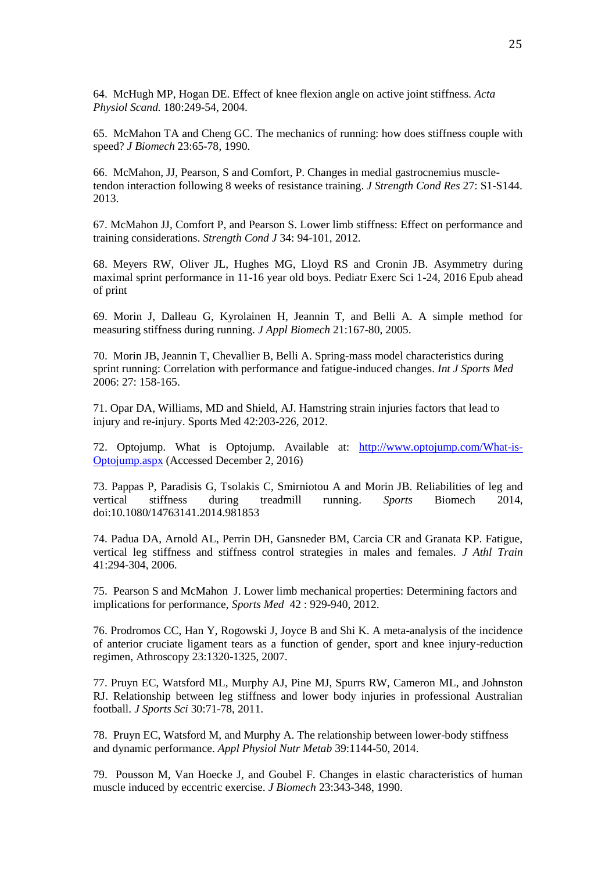64. McHugh MP, Hogan DE. Effect of knee flexion angle on active joint stiffness*. Acta Physiol Scand.* 180:249-54, 2004.

65. McMahon TA and Cheng GC. The mechanics of running: how does stiffness couple with speed? *J Biomech* 23:65-78, 1990.

66. McMahon, JJ, Pearson, S and Comfort, P. Changes in medial gastrocnemius muscletendon interaction following 8 weeks of resistance training. *J Strength Cond Res* 27: S1-S144. 2013.

67. McMahon JJ, Comfort P, and Pearson S. Lower limb stiffness: Effect on performance and training considerations. *Strength Cond J* 34: 94-101, 2012.

68. Meyers RW, Oliver JL, Hughes MG, Lloyd RS and Cronin JB. Asymmetry during maximal sprint performance in 11-16 year old boys. Pediatr Exerc Sci 1-24, 2016 Epub ahead of print

69. Morin J, Dalleau G, Kyrolainen H, Jeannin T, and Belli A. A simple method for measuring stiffness during running. *J Appl Biomech* 21:167-80, 2005.

70. Morin JB, Jeannin T, Chevallier B, Belli A. Spring-mass model characteristics during sprint running: Correlation with performance and fatigue-induced changes. *Int J Sports Med* 2006: 27: 158-165.

71. Opar DA, Williams, MD and Shield, AJ. Hamstring strain injuries factors that lead to injury and re-injury. Sports Med 42:203-226, 2012.

72. Optojump. What is Optojump. Available at: [http://www.optojump.com/What-is-](http://www.optojump.com/What-is-Optojump.aspx)[Optojump.aspx](http://www.optojump.com/What-is-Optojump.aspx) (Accessed December 2, 2016)

73. Pappas P, Paradisis G, Tsolakis C, Smirniotou A and Morin JB. Reliabilities of leg and vertical stiffness during treadmill running. *Sports* Biomech 2014, doi:10.1080/14763141.2014.981853

74. Padua DA, Arnold AL, Perrin DH, Gansneder BM, Carcia CR and Granata KP. Fatigue, vertical leg stiffness and stiffness control strategies in males and females. *J Athl Train* 41:294-304, 2006.

75. Pearson S and McMahon J. Lower limb mechanical properties: Determining factors and implications for performance, *Sports Med* 42 : 929-940, 2012.

76. Prodromos CC, Han Y, Rogowski J, Joyce B and Shi K. A meta-analysis of the incidence of anterior cruciate ligament tears as a function of gender, sport and knee injury-reduction regimen, Athroscopy 23:1320-1325, 2007.

77. Pruyn EC, Watsford ML, Murphy AJ, Pine MJ, Spurrs RW, Cameron ML, and Johnston RJ. Relationship between leg stiffness and lower body injuries in professional Australian football. *J Sports Sci* 30:71-78, 2011.

78. Pruyn EC, Watsford M, and Murphy A. The relationship between lower-body stiffness and dynamic performance. *Appl Physiol Nutr Metab* 39:1144-50, 2014.

79. Pousson M, Van Hoecke J, and Goubel F. Changes in elastic characteristics of human muscle induced by eccentric exercise. *J Biomech* 23:343-348, 1990.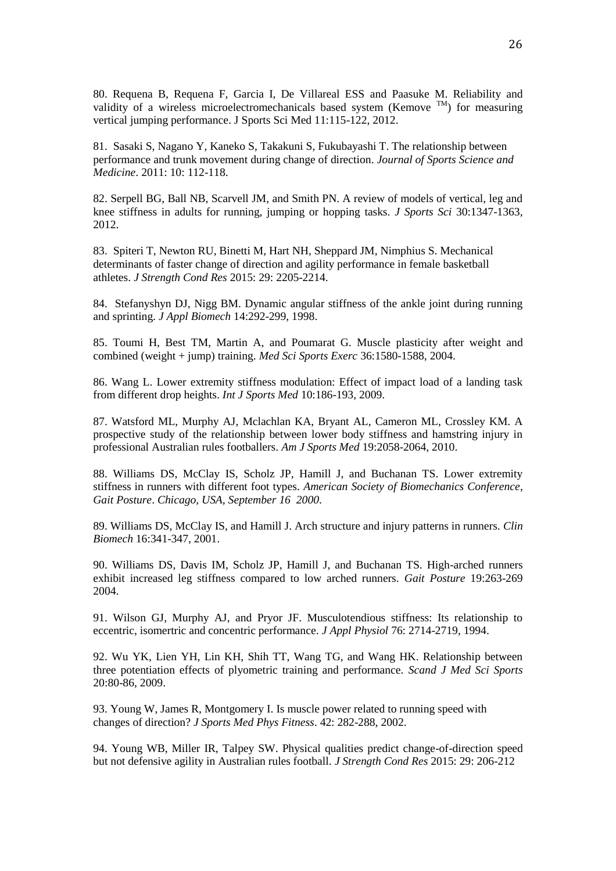80. Requena B, Requena F, Garcia I, De Villareal ESS and Paasuke M. Reliability and validity of a wireless microelectromechanicals based system (Kemove  $\text{TM}$ ) for measuring vertical jumping performance. J Sports Sci Med 11:115-122, 2012.

81. Sasaki S, Nagano Y, Kaneko S, Takakuni S, Fukubayashi T. The relationship between performance and trunk movement during change of direction. *Journal of Sports Science and Medicine*. 2011: 10: 112-118.

82. Serpell BG, Ball NB, Scarvell JM, and Smith PN. A review of models of vertical, leg and knee stiffness in adults for running, jumping or hopping tasks. *J Sports Sci* 30:1347-1363, 2012.

83. Spiteri T, Newton RU, Binetti M, Hart NH, Sheppard JM, Nimphius S. Mechanical determinants of faster change of direction and agility performance in female basketball athletes. *J Strength Cond Res* 2015: 29: 2205-2214.

84. Stefanyshyn DJ, Nigg BM. Dynamic angular stiffness of the ankle joint during running and sprinting. *J Appl Biomech* 14:292-299, 1998.

85. Toumi H, Best TM, Martin A, and Poumarat G. Muscle plasticity after weight and combined (weight + jump) training. *Med Sci Sports Exerc* 36:1580-1588, 2004.

86. Wang L. Lower extremity stiffness modulation: Effect of impact load of a landing task from different drop heights. *Int J Sports Med* 10:186-193, 2009.

87. Watsford ML, Murphy AJ, Mclachlan KA, Bryant AL, Cameron ML, Crossley KM. A prospective study of the relationship between lower body stiffness and hamstring injury in professional Australian rules footballers. *Am J Sports Med* 19:2058-2064, 2010.

88. Williams DS, McClay IS, Scholz JP, Hamill J, and Buchanan TS. Lower extremity stiffness in runners with different foot types. *American Society of Biomechanics Conference*, *Gait Posture*. *Chicago, USA, September 16 2000*.

89. Williams DS, McClay IS, and Hamill J. Arch structure and injury patterns in runners. *Clin Biomech* 16:341-347, 2001.

90. Williams DS, Davis IM, Scholz JP, Hamill J, and Buchanan TS. High-arched runners exhibit increased leg stiffness compared to low arched runners. *Gait Posture* 19:263-269 2004.

91. Wilson GJ, Murphy AJ, and Pryor JF. Musculotendious stiffness: Its relationship to eccentric, isomertric and concentric performance. *J Appl Physiol* 76: 2714-2719, 1994.

92. Wu YK, Lien YH, Lin KH, Shih TT, Wang TG, and Wang HK. Relationship between three potentiation effects of plyometric training and performance. *Scand J Med Sci Sports* 20:80-86, 2009.

93. Young W, James R, Montgomery I. Is muscle power related to running speed with changes of direction? *J Sports Med Phys Fitness*. 42: 282-288, 2002.

94. Young WB, Miller IR, Talpey SW. Physical qualities predict change-of-direction speed but not defensive agility in Australian rules football. *J Strength Cond Res* 2015: 29: 206-212